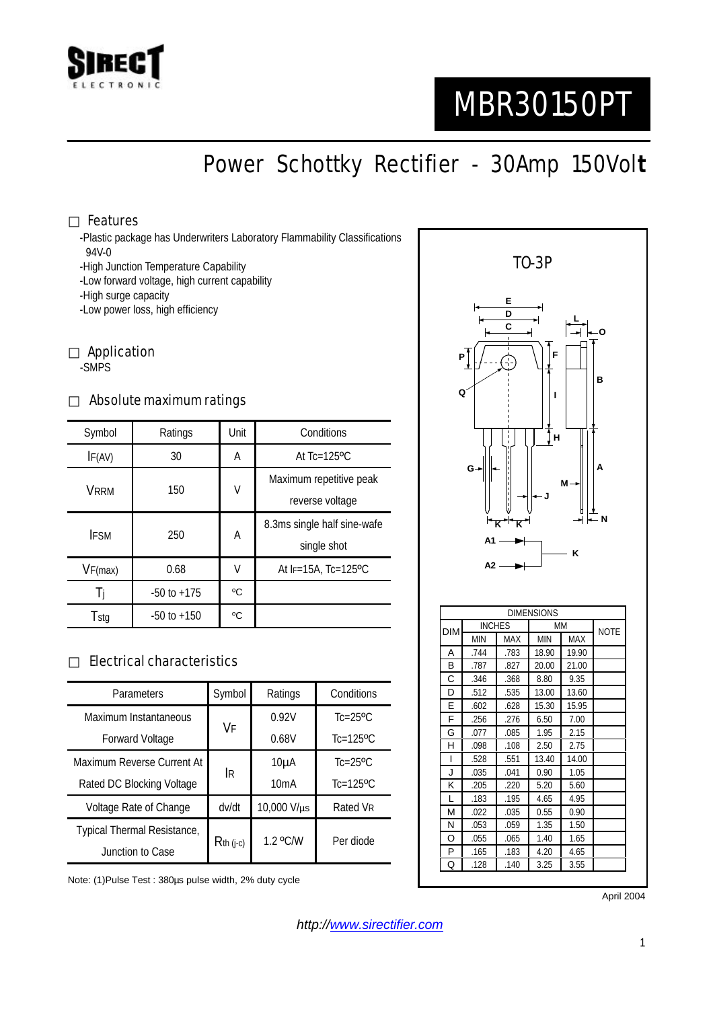

# MBR30150PT

Power Schottky Rectifier - 30Amp 150Vol**t**

#### Features

-Plastic package has Underwriters Laboratory Flammability Classifications 94V-0

-High Junction Temperature Capability

-Low forward voltage, high current capability

-High surge capacity

-Low power loss, high efficiency

Application -SMPS

#### Absolute maximum ratings

| Symbol      | Ratings         | Unit | Conditions                   |  |
|-------------|-----------------|------|------------------------------|--|
| IF(AV)      | 30              | A    | At $Tc=125$ <sup>o</sup> $C$ |  |
| VRRM        | 150             | V    | Maximum repetitive peak      |  |
|             |                 |      | reverse voltage              |  |
| <b>IFSM</b> | 250             | А    | 8.3ms single half sine-wafe  |  |
|             |                 |      | single shot                  |  |
| VF(max)     | 0.68            | V    | At $F=15A$ . Tc=125°C        |  |
|             | $-50$ to $+175$ | °C   |                              |  |
| Tstg        | $-50$ to $+150$ | °C   |                              |  |

### Electrical characteristics

| Parameters                  | Symbol      | Ratings     | Conditions                |
|-----------------------------|-------------|-------------|---------------------------|
| Maximum Instantaneous       | VF          | 0.92V       | $Tc=25$ <sup>o</sup> $C$  |
| <b>Forward Voltage</b>      |             | 0.68V       | $Tc=125$ <sup>o</sup> $C$ |
| Maximum Reverse Current At  | İR          | $10\mu A$   | $Tc=25$ <sup>o</sup> $C$  |
| Rated DC Blocking Voltage   |             | 10mA        | $Tc=125$ <sup>o</sup> C   |
| Voltage Rate of Change      | dv/dt       | 10,000 V/µs | Rated VR                  |
| Typical Thermal Resistance, | $Rth$ (j-c) | 1.2 °C/W    | Per diode                 |
| Junction to Case            |             |             |                           |

Note: (1)Pulse Test : 380µs pulse width, 2% duty cycle



April 2004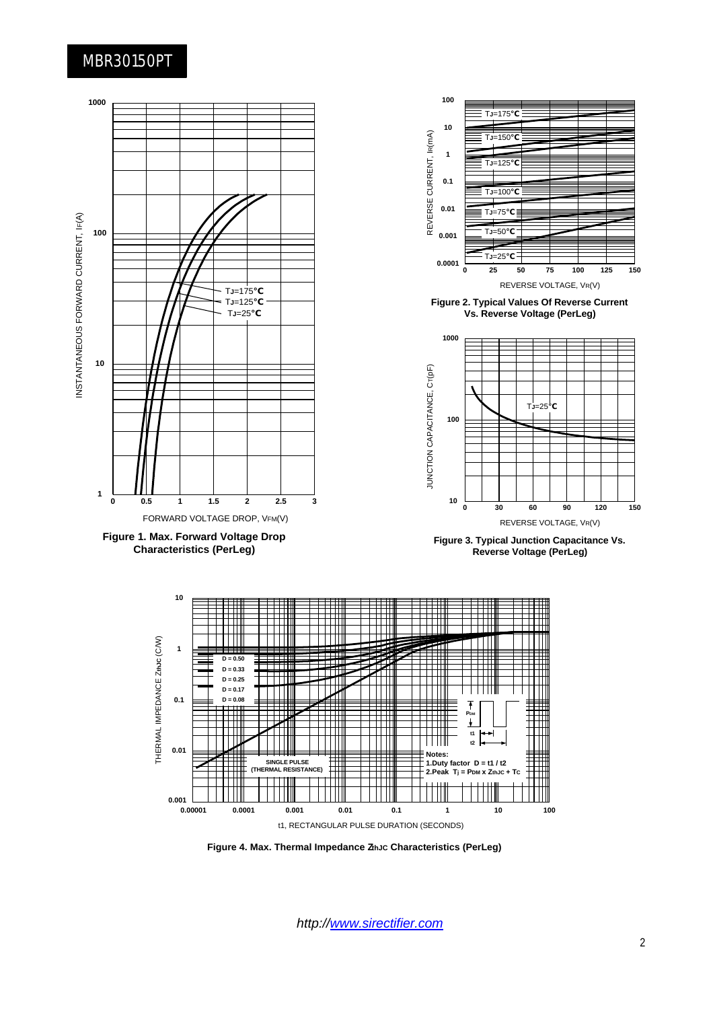## MBR30150PT



*http://www.sirectifier.com*